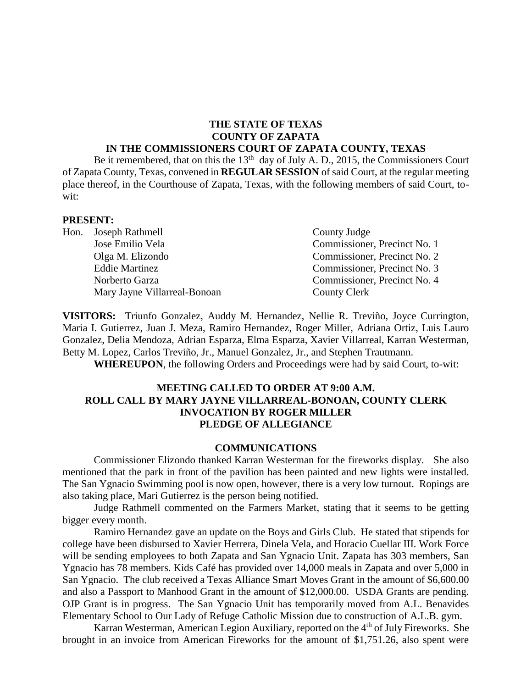#### **THE STATE OF TEXAS COUNTY OF ZAPATA IN THE COMMISSIONERS COURT OF ZAPATA COUNTY, TEXAS**

Be it remembered, that on this the  $13<sup>th</sup>$  day of July A. D., 2015, the Commissioners Court of Zapata County, Texas, convened in **REGULAR SESSION** of said Court, at the regular meeting place thereof, in the Courthouse of Zapata, Texas, with the following members of said Court, towit:

#### **PRESENT:**

| Hon. Joseph Rathmell         | County Judge                 |
|------------------------------|------------------------------|
| Jose Emilio Vela             | Commissioner, Precinct No. 1 |
| Olga M. Elizondo             | Commissioner, Precinct No. 2 |
| <b>Eddie Martinez</b>        | Commissioner, Precinct No. 3 |
| Norberto Garza               | Commissioner, Precinct No. 4 |
| Mary Jayne Villarreal-Bonoan | <b>County Clerk</b>          |

**VISITORS:** Triunfo Gonzalez, Auddy M. Hernandez, Nellie R. Treviño, Joyce Currington, Maria I. Gutierrez, Juan J. Meza, Ramiro Hernandez, Roger Miller, Adriana Ortiz, Luis Lauro Gonzalez, Delia Mendoza, Adrian Esparza, Elma Esparza, Xavier Villarreal, Karran Westerman, Betty M. Lopez, Carlos Treviño, Jr., Manuel Gonzalez, Jr., and Stephen Trautmann.

**WHEREUPON**, the following Orders and Proceedings were had by said Court, to-wit:

#### **MEETING CALLED TO ORDER AT 9:00 A.M. ROLL CALL BY MARY JAYNE VILLARREAL-BONOAN, COUNTY CLERK INVOCATION BY ROGER MILLER PLEDGE OF ALLEGIANCE**

#### **COMMUNICATIONS**

Commissioner Elizondo thanked Karran Westerman for the fireworks display. She also mentioned that the park in front of the pavilion has been painted and new lights were installed. The San Ygnacio Swimming pool is now open, however, there is a very low turnout. Ropings are also taking place, Mari Gutierrez is the person being notified.

Judge Rathmell commented on the Farmers Market, stating that it seems to be getting bigger every month.

Ramiro Hernandez gave an update on the Boys and Girls Club. He stated that stipends for college have been disbursed to Xavier Herrera, Dinela Vela, and Horacio Cuellar III. Work Force will be sending employees to both Zapata and San Ygnacio Unit. Zapata has 303 members, San Ygnacio has 78 members. Kids Café has provided over 14,000 meals in Zapata and over 5,000 in San Ygnacio. The club received a Texas Alliance Smart Moves Grant in the amount of \$6,600.00 and also a Passport to Manhood Grant in the amount of \$12,000.00. USDA Grants are pending. OJP Grant is in progress. The San Ygnacio Unit has temporarily moved from A.L. Benavides Elementary School to Our Lady of Refuge Catholic Mission due to construction of A.L.B. gym.

Karran Westerman, American Legion Auxiliary, reported on the 4<sup>th</sup> of July Fireworks. She brought in an invoice from American Fireworks for the amount of \$1,751.26, also spent were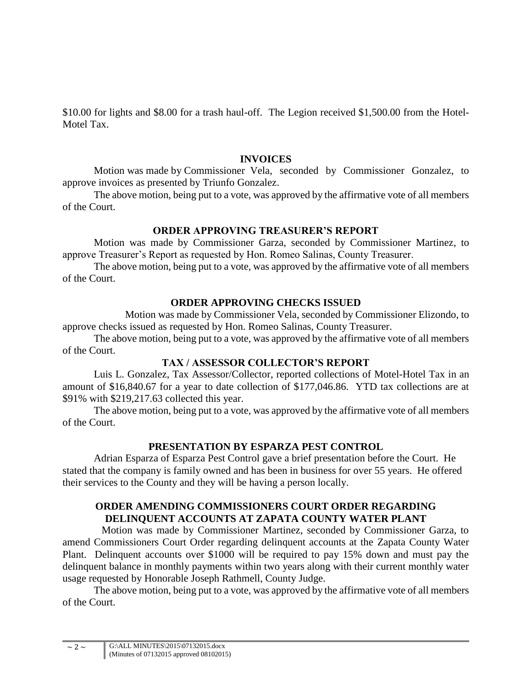\$10.00 for lights and \$8.00 for a trash haul-off. The Legion received \$1,500.00 from the Hotel-Motel Tax.

#### **INVOICES**

Motion was made by Commissioner Vela, seconded by Commissioner Gonzalez, to approve invoices as presented by Triunfo Gonzalez.

The above motion, being put to a vote, was approved by the affirmative vote of all members of the Court.

## **ORDER APPROVING TREASURER'S REPORT**

Motion was made by Commissioner Garza, seconded by Commissioner Martinez, to approve Treasurer's Report as requested by Hon. Romeo Salinas, County Treasurer.

The above motion, being put to a vote, was approved by the affirmative vote of all members of the Court.

## **ORDER APPROVING CHECKS ISSUED**

Motion was made by Commissioner Vela, seconded by Commissioner Elizondo, to approve checks issued as requested by Hon. Romeo Salinas, County Treasurer.

The above motion, being put to a vote, was approved by the affirmative vote of all members of the Court.

## **TAX / ASSESSOR COLLECTOR'S REPORT**

Luis L. Gonzalez, Tax Assessor/Collector, reported collections of Motel-Hotel Tax in an amount of \$16,840.67 for a year to date collection of \$177,046.86. YTD tax collections are at \$91% with \$219,217.63 collected this year.

The above motion, being put to a vote, was approved by the affirmative vote of all members of the Court.

# **PRESENTATION BY ESPARZA PEST CONTROL**

Adrian Esparza of Esparza Pest Control gave a brief presentation before the Court. He stated that the company is family owned and has been in business for over 55 years. He offered their services to the County and they will be having a person locally.

# **ORDER AMENDING COMMISSIONERS COURT ORDER REGARDING DELINQUENT ACCOUNTS AT ZAPATA COUNTY WATER PLANT**

Motion was made by Commissioner Martinez, seconded by Commissioner Garza, to amend Commissioners Court Order regarding delinquent accounts at the Zapata County Water Plant. Delinquent accounts over \$1000 will be required to pay 15% down and must pay the delinquent balance in monthly payments within two years along with their current monthly water usage requested by Honorable Joseph Rathmell, County Judge.

The above motion, being put to a vote, was approved by the affirmative vote of all members of the Court.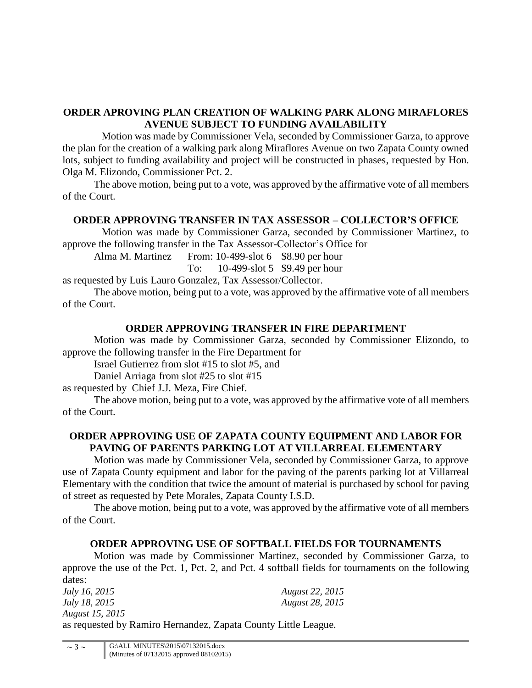## **ORDER APROVING PLAN CREATION OF WALKING PARK ALONG MIRAFLORES AVENUE SUBJECT TO FUNDING AVAILABILITY**

Motion was made by Commissioner Vela, seconded by Commissioner Garza, to approve the plan for the creation of a walking park along Miraflores Avenue on two Zapata County owned lots, subject to funding availability and project will be constructed in phases, requested by Hon. Olga M. Elizondo, Commissioner Pct. 2.

The above motion, being put to a vote, was approved by the affirmative vote of all members of the Court.

## **ORDER APPROVING TRANSFER IN TAX ASSESSOR – COLLECTOR'S OFFICE**

Motion was made by Commissioner Garza, seconded by Commissioner Martinez, to approve the following transfer in the Tax Assessor-Collector's Office for

Alma M. Martinez From: 10-499-slot 6 \$8.90 per hour To: 10-499-slot 5 \$9.49 per hour

as requested by Luis Lauro Gonzalez, Tax Assessor/Collector.

The above motion, being put to a vote, was approved by the affirmative vote of all members of the Court.

# **ORDER APPROVING TRANSFER IN FIRE DEPARTMENT**

Motion was made by Commissioner Garza, seconded by Commissioner Elizondo, to approve the following transfer in the Fire Department for

Israel Gutierrez from slot #15 to slot #5, and

Daniel Arriaga from slot #25 to slot #15

as requested by Chief J.J. Meza, Fire Chief.

The above motion, being put to a vote, was approved by the affirmative vote of all members of the Court.

## **ORDER APPROVING USE OF ZAPATA COUNTY EQUIPMENT AND LABOR FOR PAVING OF PARENTS PARKING LOT AT VILLARREAL ELEMENTARY**

Motion was made by Commissioner Vela, seconded by Commissioner Garza, to approve use of Zapata County equipment and labor for the paving of the parents parking lot at Villarreal Elementary with the condition that twice the amount of material is purchased by school for paving of street as requested by Pete Morales, Zapata County I.S.D.

The above motion, being put to a vote, was approved by the affirmative vote of all members of the Court.

# **ORDER APPROVING USE OF SOFTBALL FIELDS FOR TOURNAMENTS**

Motion was made by Commissioner Martinez, seconded by Commissioner Garza, to approve the use of the Pct. 1, Pct. 2, and Pct. 4 softball fields for tournaments on the following dates:

| <i>July 16, 2015</i>                                           | <b>August 22, 2015</b> |
|----------------------------------------------------------------|------------------------|
| <i>July 18, 2015</i>                                           | August 28, 2015        |
| August 15, 2015                                                |                        |
| as requested by Ramiro Hernandez, Zapata County Little League. |                        |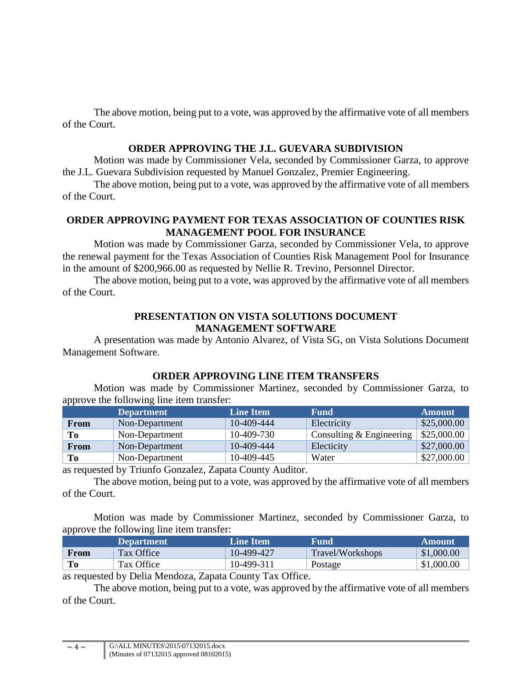The above motion, being put to a vote, was approved by the affirmative vote of all members of the Court.

## **ORDER APPROVING THE J.L. GUEVARA SUBDIVISION**

Motion was made by Commissioner Vela, seconded by Commissioner Garza, to approve the J.L. Guevara Subdivision requested by Manuel Gonzalez, Premier Engineering.

The above motion, being put to a vote, was approved by the affirmative vote of all members of the Court.

## **ORDER APPROVING PAYMENT FOR TEXAS ASSOCIATION OF COUNTIES RISK MANAGEMENT POOL FOR INSURANCE**

Motion was made by Commissioner Garza, seconded by Commissioner Vela, to approve the renewal payment for the Texas Association of Counties Risk Management Pool for Insurance in the amount of \$200,966.00 as requested by Nellie R. Trevino, Personnel Director.

The above motion, being put to a vote, was approved by the affirmative vote of all members of the Court.

#### **PRESENTATION ON VISTA SOLUTIONS DOCUMENT MANAGEMENT SOFTWARE**

A presentation was made by Antonio Alvarez, of Vista SG, on Vista Solutions Document Management Software.

## **ORDER APPROVING LINE ITEM TRANSFERS**

Motion was made by Commissioner Martinez, seconded by Commissioner Garza, to approve the following line item transfer:

|             | <b>Department</b> | <b>Line Item</b> | <b>Fund</b>              | <b>Amount</b> |
|-------------|-------------------|------------------|--------------------------|---------------|
| <b>From</b> | Non-Department    | 10-409-444       | Electricity              | \$25,000.00   |
| Tо          | Non-Department    | 10-409-730       | Consulting & Engineering | \$25,000.00   |
| <b>From</b> | Non-Department    | 10-409-444       | Electicity               | \$27,000.00   |
| To          | Non-Department    | 10-409-445       | Water                    | \$27,000.00   |

as requested by Triunfo Gonzalez, Zapata County Auditor.

The above motion, being put to a vote, was approved by the affirmative vote of all members of the Court.

Motion was made by Commissioner Martinez, seconded by Commissioner Garza, to approve the following line item transfer:

|             | <b>Department</b>                         | <b>Line Item</b> | Fund             | Amount     |
|-------------|-------------------------------------------|------------------|------------------|------------|
| <b>From</b> | Tax Office                                | 10-499-427       | Travel/Workshops | \$1,000.00 |
| Tо          | Tax Office                                | 10-499-311       | Postage          | \$1,000.00 |
|             | $\sim$ $\sim$ $\sim$ $\sim$ $\sim$ $\sim$ | $\sim$           |                  |            |

as requested by Delia Mendoza, Zapata County Tax Office.

The above motion, being put to a vote, was approved by the affirmative vote of all members of the Court.